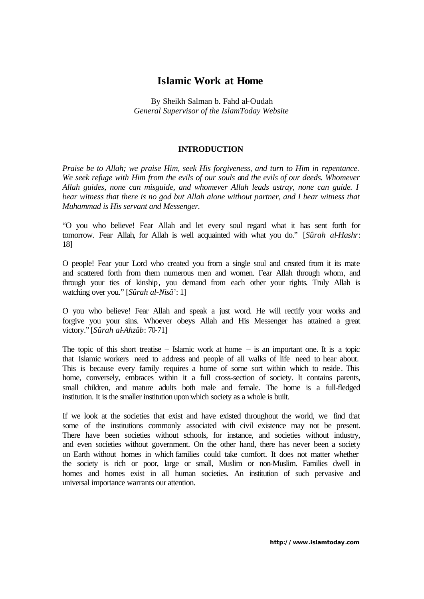# **Islamic Work at Home**

By Sheikh Salman b. Fahd al-Oudah *General Supervisor of the IslamToday Website*

## **INTRODUCTION**

*Praise be to Allah; we praise Him, seek His forgiveness, and turn to Him in repentance. We seek refuge with Him from the evils of our souls and the evils of our deeds. Whomever Allah guides, none can misguide, and whomever Allah leads astray, none can guide. I bear witness that there is no god but Allah alone without partner, and I bear witness that Muhammad is His servant and Messenger.*

"O you who believe! Fear Allah and let every soul regard what it has sent forth for tomorrow. Fear Allah, for Allah is well acquainted with what you do." [*Sûrah al-Hashr*: 18]

O people! Fear your Lord who created you from a single soul and created from it its mate and scattered forth from them numerous men and women. Fear Allah through whom, and through your ties of kinship, you demand from each other your rights. Truly Allah is watching over you." [*Sûrah al-Nisâ'*: 1]

O you who believe! Fear Allah and speak a just word. He will rectify your works and forgive you your sins. Whoever obeys Allah and His Messenger has attained a great victory." [*Sûrah al-Ahzâb*: 70-71]

The topic of this short treatise – Islamic work at home  $-$  is an important one. It is a topic that Islamic workers need to address and people of all walks of life need to hear about. This is because every family requires a home of some sort within which to reside. This home, conversely, embraces within it a full cross-section of society. It contains parents, small children, and mature adults both male and female. The home is a full-fledged institution. It is the smaller institution upon which society as a whole is built.

If we look at the societies that exist and have existed throughout the world, we find that some of the institutions commonly associated with civil existence may not be present. There have been societies without schools, for instance, and societies without industry, and even societies without government. On the other hand, there has never been a society on Earth without homes in which families could take comfort. It does not matter whether the society is rich or poor, large or small, Muslim or non-Muslim. Families dwell in homes and homes exist in all human societies. An institution of such pervasive and universal importance warrants our attention.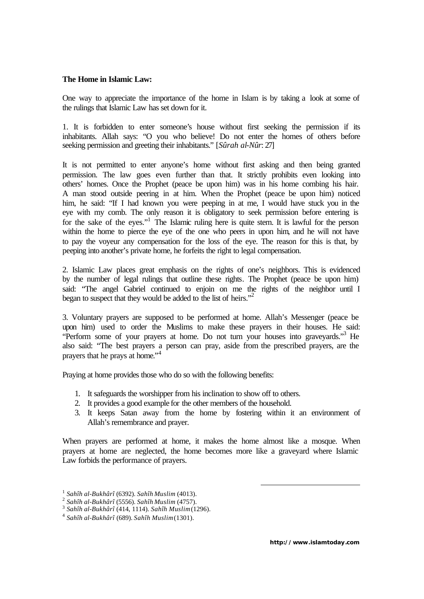#### **The Home in Islamic Law:**

One way to appreciate the importance of the home in Islam is by taking a look at some of the rulings that Islamic Law has set down for it.

1. It is forbidden to enter someone's house without first seeking the permission if its inhabitants. Allah says: "O you who believe! Do not enter the homes of others before seeking permission and greeting their inhabitants." [*Sûrah al-Nûr*: 27]

It is not permitted to enter anyone's home without first asking and then being granted permission. The law goes even further than that. It strictly prohibits even looking into others' homes. Once the Prophet (peace be upon him) was in his home combing his hair. A man stood outside peering in at him. When the Prophet (peace be upon him) noticed him, he said: "If I had known you were peeping in at me, I would have stuck you in the eye with my comb. The only reason it is obligatory to seek permission before entering is for the sake of the eyes."<sup>1</sup> The Islamic ruling here is quite stern. It is lawful for the person within the home to pierce the eye of the one who peers in upon him, and he will not have to pay the voyeur any compensation for the loss of the eye. The reason for this is that, by peeping into another's private home, he forfeits the right to legal compensation.

2. Islamic Law places great emphasis on the rights of one's neighbors. This is evidenced by the number of legal rulings that outline these rights. The Prophet (peace be upon him) said: "The angel Gabriel continued to enjoin on me the rights of the neighbor until I began to suspect that they would be added to the list of heirs."<sup>2</sup>

3. Voluntary prayers are supposed to be performed at home. Allah's Messenger (peace be upon him) used to order the Muslims to make these prayers in their houses. He said: "Perform some of your prayers at home. Do not turn your houses into graveyards."<sup>3</sup> He also said: "The best prayers a person can pray, aside from the prescribed prayers, are the prayers that he prays at home."<sup>4</sup>

Praying at home provides those who do so with the following benefits:

- 1. It safeguards the worshipper from his inclination to show off to others.
- 2. It provides a good example for the other members of the household.
- 3. It keeps Satan away from the home by fostering within it an environment of Allah's remembrance and prayer.

When prayers are performed at home, it makes the home almost like a mosque. When prayers at home are neglected, the home becomes more like a graveyard where Islamic Law forbids the performance of prayers.

<sup>1</sup> *Sahîh al-Bukhârî* (6392). *Sahîh Muslim* (4013).

<sup>2</sup> *Sahîh al-Bukhârî* (5556). *Sahîh Muslim* (4757).

<sup>3</sup> *Sahîh al-Bukhârî* (414, 1114). *Sahîh Muslim* (1296).

<sup>4</sup> *Sahîh al-Bukhârî* (689). *Sahîh Muslim* (1301).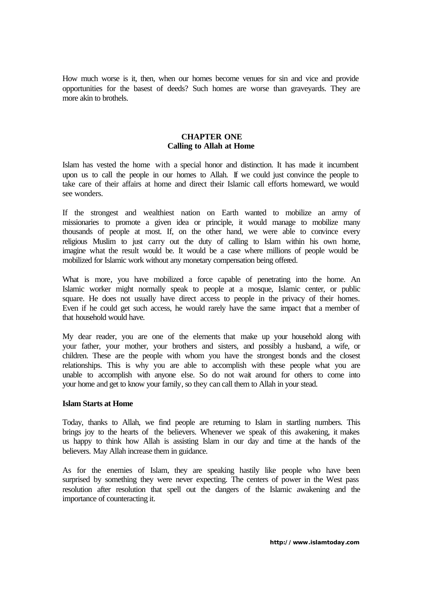How much worse is it, then, when our homes become venues for sin and vice and provide opportunities for the basest of deeds? Such homes are worse than graveyards. They are more akin to brothels.

# **CHAPTER ONE Calling to Allah at Home**

Islam has vested the home with a special honor and distinction. It has made it incumbent upon us to call the people in our homes to Allah. If we could just convince the people to take care of their affairs at home and direct their Islamic call efforts homeward, we would see wonders.

If the strongest and wealthiest nation on Earth wanted to mobilize an army of missionaries to promote a given idea or principle, it would manage to mobilize many thousands of people at most. If, on the other hand, we were able to convince every religious Muslim to just carry out the duty of calling to Islam within his own home, imagine what the result would be. It would be a case where millions of people would be mobilized for Islamic work without any monetary compensation being offered.

What is more, you have mobilized a force capable of penetrating into the home. An Islamic worker might normally speak to people at a mosque, Islamic center, or public square. He does not usually have direct access to people in the privacy of their homes. Even if he could get such access, he would rarely have the same impact that a member of that household would have.

My dear reader, you are one of the elements that make up your household along with your father, your mother, your brothers and sisters, and possibly a husband, a wife, or children. These are the people with whom you have the strongest bonds and the closest relationships. This is why you are able to accomplish with these people what you are unable to accomplish with anyone else. So do not wait around for others to come into your home and get to know your family, so they can call them to Allah in your stead.

#### **Islam Starts at Home**

Today, thanks to Allah, we find people are returning to Islam in startling numbers. This brings joy to the hearts of the believers. Whenever we speak of this awakening, it makes us happy to think how Allah is assisting Islam in our day and time at the hands of the believers. May Allah increase them in guidance.

As for the enemies of Islam, they are speaking hastily like people who have been surprised by something they were never expecting. The centers of power in the West pass resolution after resolution that spell out the dangers of the Islamic awakening and the importance of counteracting it.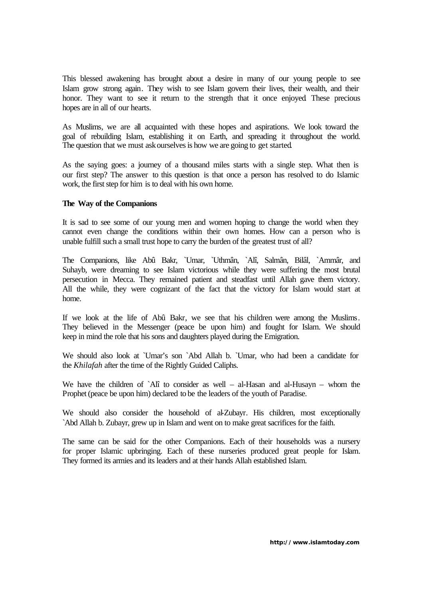This blessed awakening has brought about a desire in many of our young people to see Islam grow strong again. They wish to see Islam govern their lives, their wealth, and their honor. They want to see it return to the strength that it once enjoyed. These precious hopes are in all of our hearts.

As Muslims, we are all acquainted with these hopes and aspirations. We look toward the goal of rebuilding Islam, establishing it on Earth, and spreading it throughout the world. The question that we must askourselves is how we are going to get started.

As the saying goes: a journey of a thousand miles starts with a single step. What then is our first step? The answer to this question is that once a person has resolved to do Islamic work, the first step for him is to deal with his own home.

#### **The Way of the Companions**

It is sad to see some of our young men and women hoping to change the world when they cannot even change the conditions within their own homes. How can a person who is unable fulfill such a small trust hope to carry the burden of the greatest trust of all?

The Companions, like Abû Bakr, `Umar, `Uthmân, `Alî, Salmân, Bilâl, `Ammâr, and Suhayb, were dreaming to see Islam victorious while they were suffering the most brutal persecution in Mecca. They remained patient and steadfast until Allah gave them victory. All the while, they were cognizant of the fact that the victory for Islam would start at home.

If we look at the life of Abû Bakr, we see that his children were among the Muslims. They believed in the Messenger (peace be upon him) and fought for Islam. We should keep in mind the role that his sons and daughters played during the Emigration.

We should also look at `Umar's son `Abd Allah b. `Umar, who had been a candidate for the *Khilafah* after the time of the Rightly Guided Caliphs.

We have the children of `Alî to consider as well – al-Hasan and al-Husayn – whom the Prophet (peace be upon him) declared to be the leaders of the youth of Paradise.

We should also consider the household of al-Zubayr. His children, most exceptionally `Abd Allah b. Zubayr, grew up in Islam and went on to make great sacrifices for the faith.

The same can be said for the other Companions. Each of their households was a nursery for proper Islamic upbringing. Each of these nurseries produced great people for Islam. They formed its armies and its leaders and at their hands Allah established Islam.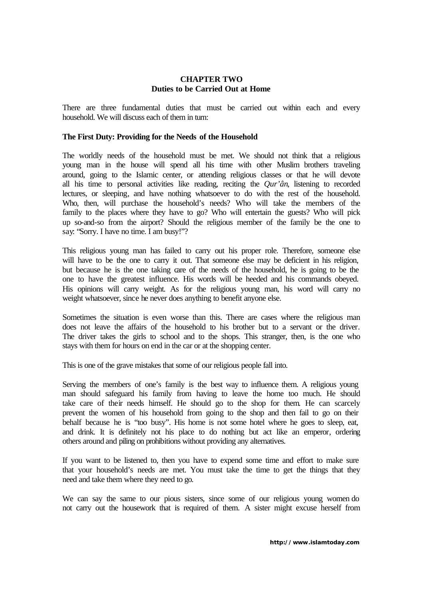## **CHAPTER TWO Duties to be Carried Out at Home**

There are three fundamental duties that must be carried out within each and every household. We will discuss each of them in turn:

## **The First Duty: Providing for the Needs of the Household**

The worldly needs of the household must be met. We should not think that a religious young man in the house will spend all his time with other Muslim brothers traveling around, going to the Islamic center, or attending religious classes or that he will devote all his time to personal activities like reading, reciting the *Qur'ân*, listening to recorded lectures, or sleeping, and have nothing whatsoever to do with the rest of the household. Who, then, will purchase the household's needs? Who will take the members of the family to the places where they have to go? Who will entertain the guests? Who will pick up so-and-so from the airport? Should the religious member of the family be the one to say: "Sorry. I have no time. I am busy!"?

This religious young man has failed to carry out his proper role. Therefore, someone else will have to be the one to carry it out. That someone else may be deficient in his religion, but because he is the one taking care of the needs of the household, he is going to be the one to have the greatest influence. His words will be heeded and his commands obeyed. His opinions will carry weight. As for the religious young man, his word will carry no weight whatsoever, since he never does anything to benefit anyone else.

Sometimes the situation is even worse than this. There are cases where the religious man does not leave the affairs of the household to his brother but to a servant or the driver. The driver takes the girls to school and to the shops. This stranger, then, is the one who stays with them for hours on end in the car or at the shopping center.

This is one of the grave mistakes that some of our religious people fall into.

Serving the members of one's family is the best way to influence them. A religious young man should safeguard his family from having to leave the home too much. He should take care of their needs himself. He should go to the shop for them. He can scarcely prevent the women of his household from going to the shop and then fail to go on their behalf because he is "too busy". His home is not some hotel where he goes to sleep, eat, and drink. It is definitely not his place to do nothing but act like an emperor, ordering others around and piling on prohibitions without providing any alternatives.

If you want to be listened to, then you have to expend some time and effort to make sure that your household's needs are met. You must take the time to get the things that they need and take them where they need to go.

We can say the same to our pious sisters, since some of our religious young women do not carry out the housework that is required of them. A sister might excuse herself from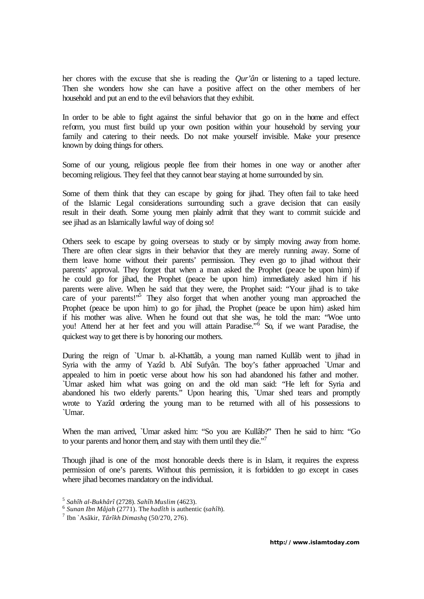her chores with the excuse that she is reading the *Qur'ân* or listening to a taped lecture. Then she wonders how she can have a positive affect on the other members of her household and put an end to the evil behaviors that they exhibit.

In order to be able to fight against the sinful behavior that go on in the home and effect reform, you must first build up your own position within your household by serving your family and catering to their needs. Do not make yourself invisible. Make your presence known by doing things for others.

Some of our young, religious people flee from their homes in one way or another after becoming religious. They feel that they cannot bear staying at home surrounded by sin.

Some of them think that they can escape by going for jihad. They often fail to take heed of the Islamic Legal considerations surrounding such a grave decision that can easily result in their death. Some young men plainly admit that they want to commit suicide and see jihad as an Islamically lawful way of doing so!

Others seek to escape by going overseas to study or by simply moving away from home. There are often clear signs in their behavior that they are merely running away. Some of them leave home without their parents' permission. They even go to jihad without their parents' approval. They forget that when a man asked the Prophet (peace be upon him) if he could go for jihad, the Prophet (peace be upon him) immediately asked him if his parents were alive. When he said that they were, the Prophet said: "Your jihad is to take care of your parents!"<sup>5</sup> They also forget that when another young man approached the Prophet (peace be upon him) to go for jihad, the Prophet (peace be upon him) asked him if his mother was alive. When he found out that she was, he told the man: "Woe unto you! Attend her at her feet and you will attain Paradise."<sup>6</sup> So, if we want Paradise, the quickest way to get there is by honoring our mothers.

During the reign of `Umar b. al-Khattâb, a young man named Kullâb went to jihad in Syria with the army of Yazîd b. Abî Sufyân. The boy's father approached `Umar and appealed to him in poetic verse about how his son had abandoned his father and mother. `Umar asked him what was going on and the old man said: "He left for Syria and abandoned his two elderly parents." Upon hearing this, `Umar shed tears and promptly wrote to Yazîd ordering the young man to be returned with all of his possessions to `Umar.

When the man arrived, `Umar asked him: "So you are Kullâb?" Then he said to him: "Go to your parents and honor them, and stay with them until they die."<sup>7</sup>

Though jihad is one of the most honorable deeds there is in Islam, it requires the express permission of one's parents. Without this permission, it is forbidden to go except in cases where jihad becomes mandatory on the individual.

<sup>5</sup> *Sahîh al-Bukhârî* (2728). *Sahîh Muslim* (4623).

<sup>6</sup> *Sunan Ibn Mâjah* (2771). The *hadîth* is authentic (*sahîh*).

<sup>7</sup> Ibn `Asâkir, *Târîkh Dimashq* (50/270, 276).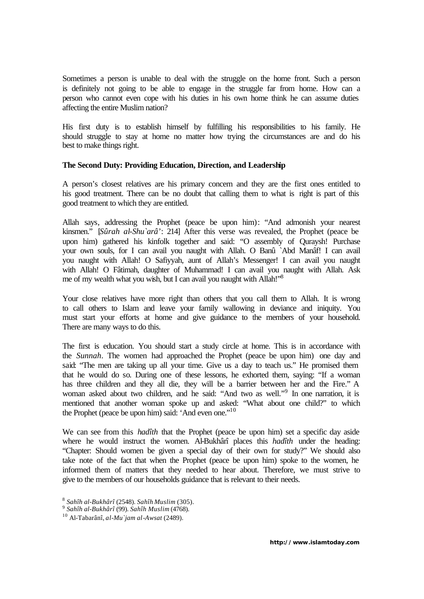Sometimes a person is unable to deal with the struggle on the home front. Such a person is definitely not going to be able to engage in the struggle far from home. How can a person who cannot even cope with his duties in his own home think he can assume duties affecting the entire Muslim nation?

His first duty is to establish himself by fulfilling his responsibilities to his family. He should struggle to stay at home no matter how trying the circumstances are and do his best to make things right.

#### **The Second Duty: Providing Education, Direction, and Leadership**

A person's closest relatives are his primary concern and they are the first ones entitled to his good treatment. There can be no doubt that calling them to what is right is part of this good treatment to which they are entitled.

Allah says, addressing the Prophet (peace be upon him): "And admonish your nearest kinsmen." [*Sûrah al-Shu`arâ'*: 214] After this verse was revealed, the Prophet (peace be upon him) gathered his kinfolk together and said: "O assembly of Quraysh! Purchase your own souls, for I can avail you naught with Allah. O Banû `Abd Manâf! I can avail you naught with Allah! O Safiyyah, aunt of Allah's Messenger! I can avail you naught with Allah! O Fâtimah, daughter of Muhammad! I can avail you naught with Allah. Ask me of my wealth what you wish, but I can avail you naught with Allah!"<sup>8</sup>

Your close relatives have more right than others that you call them to Allah. It is wrong to call others to Islam and leave your family wallowing in deviance and iniquity. You must start your efforts at home and give guidance to the members of your household. There are many ways to do this.

The first is education. You should start a study circle at home. This is in accordance with the *Sunnah*. The women had approached the Prophet (peace be upon him) one day and said: "The men are taking up all your time. Give us a day to teach us." He promised them that he would do so. During one of these lessons, he exhorted them, saying: "If a woman has three children and they all die, they will be a barrier between her and the Fire." A woman asked about two children, and he said: "And two as well."<sup>9</sup> In one narration, it is mentioned that another woman spoke up and asked: "What about one child?" to which the Prophet (peace be upon him) said: 'And even one.'<sup>10</sup>

We can see from this *hadîth* that the Prophet (peace be upon him) set a specific day aside where he would instruct the women. Al-Bukhârî places this *hadîth* under the heading: "Chapter: Should women be given a special day of their own for study?" We should also take note of the fact that when the Prophet (peace be upon him) spoke to the women, he informed them of matters that they needed to hear about. Therefore, we must strive to give to the members of our households guidance that is relevant to their needs.

<sup>8</sup> *Sahîh al-Bukhârî* (2548). *Sahîh Muslim* (305).

<sup>9</sup> *Sahîh al-Bukhârî* (99). *Sahîh Muslim* (4768).

<sup>10</sup> Al-Tabarânî, *al-Mu`jam al-Awsat* (2489).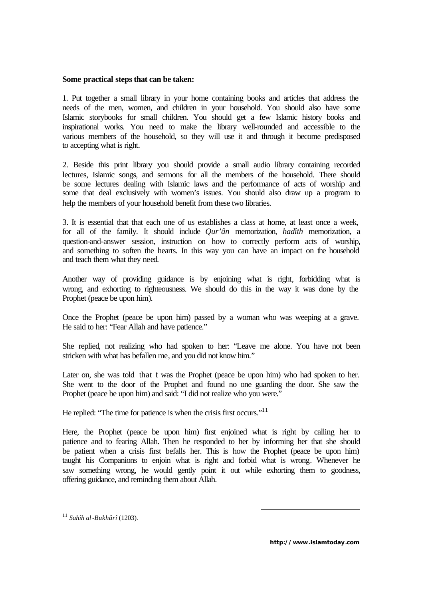#### **Some practical steps that can be taken:**

1. Put together a small library in your home containing books and articles that address the needs of the men, women, and children in your household. You should also have some Islamic storybooks for small children. You should get a few Islamic history books and inspirational works. You need to make the library well-rounded and accessible to the various members of the household, so they will use it and through it become predisposed to accepting what is right.

2. Beside this print library you should provide a small audio library containing recorded lectures, Islamic songs, and sermons for all the members of the household. There should be some lectures dealing with Islamic laws and the performance of acts of worship and some that deal exclusively with women's issues. You should also draw up a program to help the members of your household benefit from these two libraries.

3. It is essential that that each one of us establishes a class at home, at least once a week, for all of the family. It should include *Qur'ân* memorization, *hadîth* memorization, a question-and-answer session, instruction on how to correctly perform acts of worship, and something to soften the hearts. In this way you can have an impact on the household and teach them what they need.

Another way of providing guidance is by enjoining what is right, forbidding what is wrong, and exhorting to righteousness. We should do this in the way it was done by the Prophet (peace be upon him).

Once the Prophet (peace be upon him) passed by a woman who was weeping at a grave. He said to her: "Fear Allah and have patience."

She replied, not realizing who had spoken to her: "Leave me alone. You have not been stricken with what has befallen me, and you did not know him."

Later on, she was told that  $\mathbf i$  was the Prophet (peace be upon him) who had spoken to her. She went to the door of the Prophet and found no one guarding the door. She saw the Prophet (peace be upon him) and said: "I did not realize who you were."

He replied: "The time for patience is when the crisis first occurs."<sup>11</sup>

Here, the Prophet (peace be upon him) first enjoined what is right by calling her to patience and to fearing Allah. Then he responded to her by informing her that she should be patient when a crisis first befalls her. This is how the Prophet (peace be upon him) taught his Companions to enjoin what is right and forbid what is wrong. Whenever he saw something wrong, he would gently point it out while exhorting them to goodness, offering guidance, and reminding them about Allah.

<sup>11</sup> *Sahîh al-Bukhârî* (1203).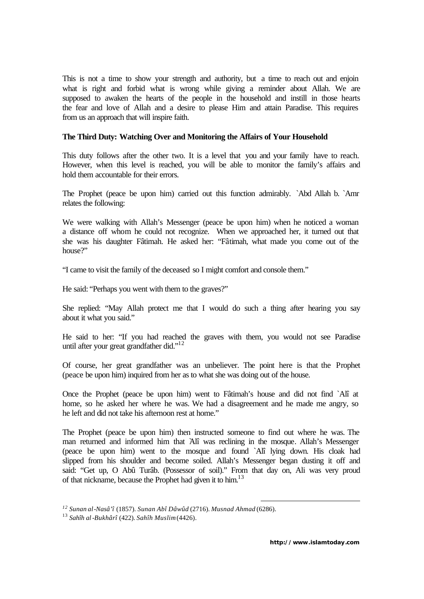This is not a time to show your strength and authority, but a time to reach out and enjoin what is right and forbid what is wrong while giving a reminder about Allah. We are supposed to awaken the hearts of the people in the household and instill in those hearts the fear and love of Allah and a desire to please Him and attain Paradise. This requires from us an approach that will inspire faith.

## **The Third Duty: Watching Over and Monitoring the Affairs of Your Household**

This duty follows after the other two. It is a level that you and your family have to reach. However, when this level is reached, you will be able to monitor the family's affairs and hold them accountable for their errors.

The Prophet (peace be upon him) carried out this function admirably. `Abd Allah b. `Amr relates the following:

We were walking with Allah's Messenger (peace be upon him) when he noticed a woman a distance off whom he could not recognize. When we approached her, it turned out that she was his daughter Fâtimah. He asked her: "Fâtimah, what made you come out of the house?"

"I came to visit the family of the deceased so I might comfort and console them."

He said: "Perhaps you went with them to the graves?"

She replied: "May Allah protect me that I would do such a thing after hearing you say about it what you said."

He said to her: "If you had reached the graves with them, you would not see Paradise until after your great grandfather did."<sup>12</sup>

Of course, her great grandfather was an unbeliever. The point here is that the Prophet (peace be upon him) inquired from her as to what she was doing out of the house.

Once the Prophet (peace be upon him) went to Fâtimah's house and did not find `Alî at home, so he asked her where he was. We had a disagreement and he made me angry, so he left and did not take his afternoon rest at home."

The Prophet (peace be upon him) then instructed someone to find out where he was. The man returned and informed him that `Alî was reclining in the mosque. Allah's Messenger (peace be upon him) went to the mosque and found `Alî lying down. His cloak had slipped from his shoulder and become soiled. Allah's Messenger began dusting it off and said: "Get up, O Abû Turâb. (Possessor of soil)." From that day on, Ali was very proud of that nickname, because the Prophet had given it to him.<sup>13</sup>

*<sup>12</sup> Sunan al-Nasâ'î* (1857). *Sunan Abî Dâwûd* (2716). *Musnad Ahmad* (6286).

<sup>13</sup> *Sahîh al-Bukhârî* (422). *Sahîh Muslim* (4426).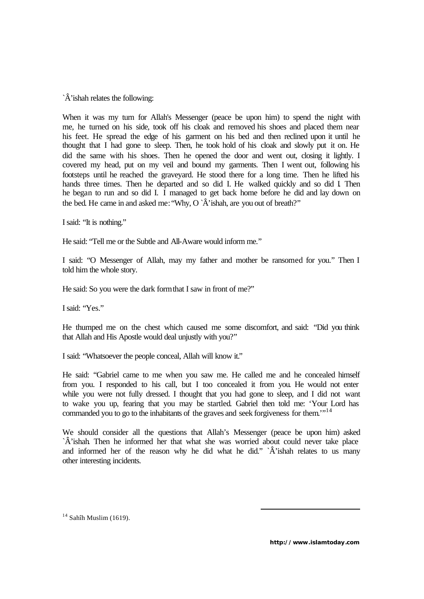`Â'ishah relates the following:

When it was my turn for Allah's Messenger (peace be upon him) to spend the night with me, he turned on his side, took off his cloak and removed his shoes and placed them near his feet. He spread the edge of his garment on his bed and then reclined upon it until he thought that I had gone to sleep. Then, he took hold of his cloak and slowly put it on. He did the same with his shoes. Then he opened the door and went out, closing it lightly. I covered my head, put on my veil and bound my garments. Then I went out, following his footsteps until he reached the graveyard. He stood there for a long time. Then he lifted his hands three times. Then he departed and so did I. He walked quickly and so did I. Then he began to run and so did I. I managed to get back home before he did and lay down on the bed. He came in and asked me: "Why,  $O \hat{A}$ 'ishah, are you out of breath?"

I said: "It is nothing."

He said: "Tell me or the Subtle and All-Aware would inform me."

I said: "O Messenger of Allah, may my father and mother be ransomed for you." Then I told him the whole story.

He said: So you were the dark form that I saw in front of me?"

I said: "Yes."

He thumped me on the chest which caused me some discomfort, and said: "Did you think that Allah and His Apostle would deal unjustly with you?"

I said: "Whatsoever the people conceal, Allah will know it."

He said: "Gabriel came to me when you saw me. He called me and he concealed himself from you. I responded to his call, but I too concealed it from you. He would not enter while you were not fully dressed. I thought that you had gone to sleep, and I did not want to wake you up, fearing that you may be startled. Gabriel then told me: 'Your Lord has commanded you to go to the inhabitants of the graves and seek forgiveness for them.<sup>"14</sup>

We should consider all the questions that Allah's Messenger (peace be upon him) asked `Â'ishah. Then he informed her that what she was worried about could never take place and informed her of the reason why he did what he did." `Â'ishah relates to us many other interesting incidents.

 $14$  Sahîh Muslim (1619).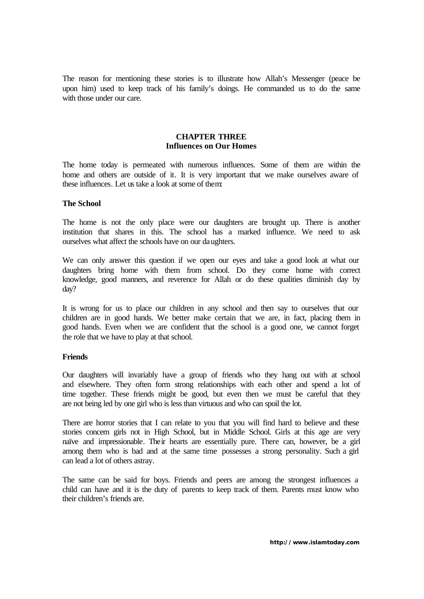The reason for mentioning these stories is to illustrate how Allah's Messenger (peace be upon him) used to keep track of his family's doings. He commanded us to do the same with those under our care.

## **CHAPTER THREE Influences on Our Homes**

The home today is permeated with numerous influences. Some of them are within the home and others are outside of it. It is very important that we make ourselves aware of these influences. Let us take a look at some of them:

#### **The School**

The home is not the only place were our daughters are brought up. There is another institution that shares in this. The school has a marked influence. We need to ask ourselves what affect the schools have on our daughters.

We can only answer this question if we open our eyes and take a good look at what our daughters bring home with them from school. Do they come home with correct knowledge, good manners, and reverence for Allah or do these qualities diminish day by day?

It is wrong for us to place our children in any school and then say to ourselves that our children are in good hands. We better make certain that we are, in fact, placing them in good hands. Even when we are confident that the school is a good one, we cannot forget the role that we have to play at that school.

#### **Friends**

Our daughters will invariably have a group of friends who they hang out with at school and elsewhere. They often form strong relationships with each other and spend a lot of time together. These friends might be good, but even then we must be careful that they are not being led by one girl who is less than virtuous and who can spoil the lot.

There are horror stories that I can relate to you that you will find hard to believe and these stories concern girls not in High School, but in Middle School. Girls at this age are very naïve and impressionable. Their hearts are essentially pure. There can, however, be a girl among them who is bad and at the same time possesses a strong personality. Such a girl can lead a lot of others astray.

The same can be said for boys. Friends and peers are among the strongest influences a child can have and it is the duty of parents to keep track of them. Parents must know who their children's friends are.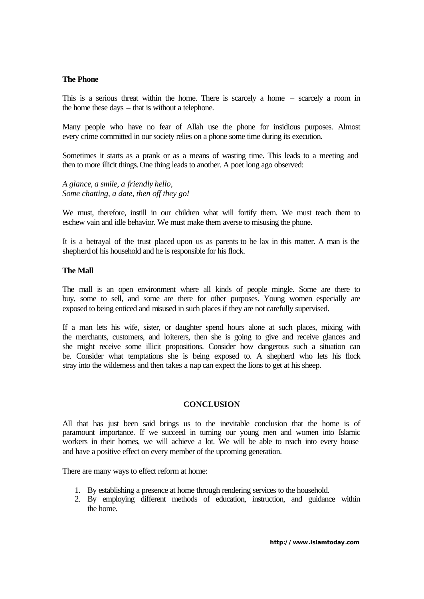## **The Phone**

This is a serious threat within the home. There is scarcely a home – scarcely a room in the home these days – that is without a telephone.

Many people who have no fear of Allah use the phone for insidious purposes. Almost every crime committed in our society relies on a phone some time during its execution.

Sometimes it starts as a prank or as a means of wasting time. This leads to a meeting and then to more illicit things. One thing leads to another. A poet long ago observed:

*A glance, a smile, a friendly hello, Some chatting, a date, then off they go!*

We must, therefore, instill in our children what will fortify them. We must teach them to eschew vain and idle behavior. We must make them averse to misusing the phone.

It is a betrayal of the trust placed upon us as parents to be lax in this matter. A man is the shepherd of his household and he is responsible for his flock.

## **The Mall**

The mall is an open environment where all kinds of people mingle. Some are there to buy, some to sell, and some are there for other purposes. Young women especially are exposed to being enticed and misused in such places if they are not carefully supervised.

If a man lets his wife, sister, or daughter spend hours alone at such places, mixing with the merchants, customers, and loiterers, then she is going to give and receive glances and she might receive some illicit propositions. Consider how dangerous such a situation can be. Consider what temptations she is being exposed to. A shepherd who lets his flock stray into the wilderness and then takes a nap can expect the lions to get at his sheep.

## **CONCLUSION**

All that has just been said brings us to the inevitable conclusion that the home is of paramount importance. If we succeed in turning our young men and women into Islamic workers in their homes, we will achieve a lot. We will be able to reach into every house and have a positive effect on every member of the upcoming generation.

There are many ways to effect reform at home:

- 1. By establishing a presence at home through rendering services to the household.
- 2. By employing different methods of education, instruction, and guidance within the home.